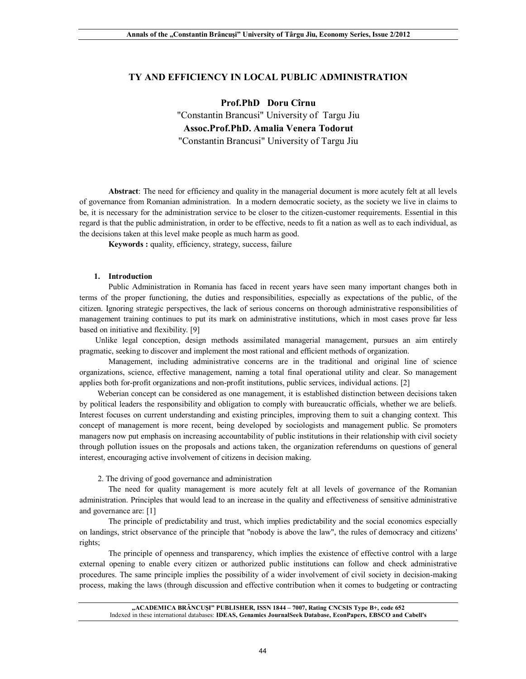# **TY AND EFFICIENCY IN LOCAL PUBLIC ADMINISTRATION**

**Prof.PhD Doru Cîrnu** "Constantin Brancusi" University of Targu Jiu **Assoc.Prof.PhD. Amalia Venera Todorut** "Constantin Brancusi" University of Targu Jiu

**Abstract**: The need for efficiency and quality in the managerial document is more acutely felt at all levels of governance from Romanian administration. In a modern democratic society, as the society we live in claims to be, it is necessary for the administration service to be closer to the citizen-customer requirements. Essential in this regard is that the public administration, in order to be effective, needs to fit a nation as well as to each individual, as the decisions taken at this level make people as much harm as good.

**Keywords :** quality, efficiency, strategy, success, failure

### **1. Introduction**

Public Administration in Romania has faced in recent years have seen many important changes both in terms of the proper functioning, the duties and responsibilities, especially as expectations of the public, of the citizen. Ignoring strategic perspectives, the lack of serious concerns on thorough administrative responsibilities of management training continues to put its mark on administrative institutions, which in most cases prove far less based on initiative and flexibility. [9]

 Unlike legal conception, design methods assimilated managerial management, pursues an aim entirely pragmatic, seeking to discover and implement the most rational and efficient methods of organization.

Management, including administrative concerns are in the traditional and original line of science organizations, science, effective management, naming a total final operational utility and clear. So management applies both for-profit organizations and non-profit institutions, public services, individual actions. [2]

 Weberian concept can be considered as one management, it is established distinction between decisions taken by political leaders the responsibility and obligation to comply with bureaucratic officials, whether we are beliefs. Interest focuses on current understanding and existing principles, improving them to suit a changing context. This concept of management is more recent, being developed by sociologists and management public. Se promoters managers now put emphasis on increasing accountability of public institutions in their relationship with civil society through pollution issues on the proposals and actions taken, the organization referendums on questions of general interest, encouraging active involvement of citizens in decision making.

2. The driving of good governance and administration

The need for quality management is more acutely felt at all levels of governance of the Romanian administration. Principles that would lead to an increase in the quality and effectiveness of sensitive administrative and governance are: [1]

The principle of predictability and trust, which implies predictability and the social economics especially on landings, strict observance of the principle that "nobody is above the law", the rules of democracy and citizens' rights;

The principle of openness and transparency, which implies the existence of effective control with a large external opening to enable every citizen or authorized public institutions can follow and check administrative procedures. The same principle implies the possibility of a wider involvement of civil society in decision-making process, making the laws (through discussion and effective contribution when it comes to budgeting or contracting

**"ACADEMICA BRÂNCUŞI" PUBLISHER, ISSN 1844 – 7007, Rating CNCSIS Type B+, code 652** Indexed in these international databases: **IDEAS, Genamics JournalSeek Database, EconPapers, EBSCO and Cabell's**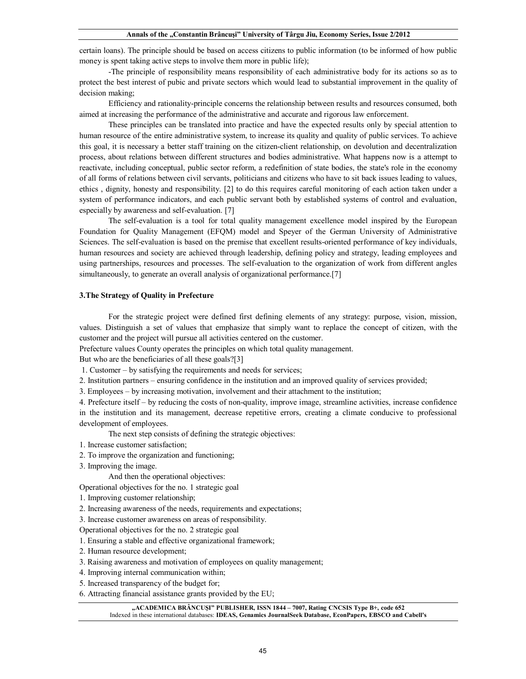certain loans). The principle should be based on access citizens to public information (to be informed of how public money is spent taking active steps to involve them more in public life);

-The principle of responsibility means responsibility of each administrative body for its actions so as to protect the best interest of pubic and private sectors which would lead to substantial improvement in the quality of decision making;

Efficiency and rationality-principle concerns the relationship between results and resources consumed, both aimed at increasing the performance of the administrative and accurate and rigorous law enforcement.

These principles can be translated into practice and have the expected results only by special attention to human resource of the entire administrative system, to increase its quality and quality of public services. To achieve this goal, it is necessary a better staff training on the citizen-client relationship, on devolution and decentralization process, about relations between different structures and bodies administrative. What happens now is a attempt to reactivate, including conceptual, public sector reform, a redefinition of state bodies, the state's role in the economy of all forms of relations between civil servants, politicians and citizens who have to sit back issues leading to values, ethics , dignity, honesty and responsibility. [2] to do this requires careful monitoring of each action taken under a system of performance indicators, and each public servant both by established systems of control and evaluation, especially by awareness and self-evaluation. [7]

The self-evaluation is a tool for total quality management excellence model inspired by the European Foundation for Quality Management (EFQM) model and Speyer of the German University of Administrative Sciences. The self-evaluation is based on the premise that excellent results-oriented performance of key individuals, human resources and society are achieved through leadership, defining policy and strategy, leading employees and using partnerships, resources and processes. The self-evaluation to the organization of work from different angles simultaneously, to generate an overall analysis of organizational performance.<sup>[7]</sup>

### **3.The Strategy of Quality in Prefecture**

For the strategic project were defined first defining elements of any strategy: purpose, vision, mission, values. Distinguish a set of values that emphasize that simply want to replace the concept of citizen, with the customer and the project will pursue all activities centered on the customer.

Prefecture values County operates the principles on which total quality management.

But who are the beneficiaries of all these goals?[3]

1. Customer – by satisfying the requirements and needs for services;

2. Institution partners – ensuring confidence in the institution and an improved quality of services provided;

3. Employees – by increasing motivation, involvement and their attachment to the institution;

4. Prefecture itself – by reducing the costs of non-quality, improve image, streamline activities, increase confidence in the institution and its management, decrease repetitive errors, creating a climate conducive to professional development of employees.

The next step consists of defining the strategic objectives:

1. Increase customer satisfaction;

2. To improve the organization and functioning;

3. Improving the image.

And then the operational objectives:

Operational objectives for the no. 1 strategic goal

- 1. Improving customer relationship;
- 2. Increasing awareness of the needs, requirements and expectations;
- 3. Increase customer awareness on areas of responsibility.

Operational objectives for the no. 2 strategic goal

- 1. Ensuring a stable and effective organizational framework;
- 2. Human resource development;
- 3. Raising awareness and motivation of employees on quality management;
- 4. Improving internal communication within;
- 5. Increased transparency of the budget for;
- 6. Attracting financial assistance grants provided by the EU;

#### **"ACADEMICA BRÂNCUŞI" PUBLISHER, ISSN 1844 – 7007, Rating CNCSIS Type B+, code 652** Indexed in these international databases: **IDEAS, Genamics JournalSeek Database, EconPapers, EBSCO and Cabell's**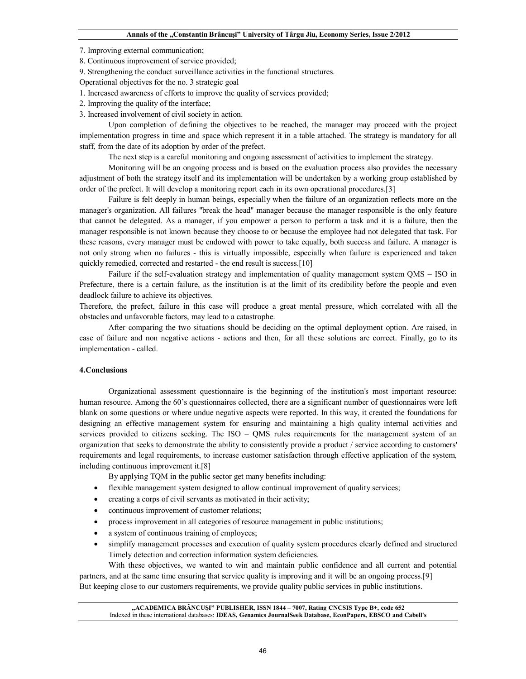7. Improving external communication;

8. Continuous improvement of service provided;

9. Strengthening the conduct surveillance activities in the functional structures.

Operational objectives for the no. 3 strategic goal

1. Increased awareness of efforts to improve the quality of services provided;

2. Improving the quality of the interface;

3. Increased involvement of civil society in action.

Upon completion of defining the objectives to be reached, the manager may proceed with the project implementation progress in time and space which represent it in a table attached. The strategy is mandatory for all staff, from the date of its adoption by order of the prefect.

The next step is a careful monitoring and ongoing assessment of activities to implement the strategy.

Monitoring will be an ongoing process and is based on the evaluation process also provides the necessary adjustment of both the strategy itself and its implementation will be undertaken by a working group established by order of the prefect. It will develop a monitoring report each in its own operational procedures.[3]

Failure is felt deeply in human beings, especially when the failure of an organization reflects more on the manager's organization. All failures "break the head" manager because the manager responsible is the only feature that cannot be delegated. As a manager, if you empower a person to perform a task and it is a failure, then the manager responsible is not known because they choose to or because the employee had not delegated that task. For these reasons, every manager must be endowed with power to take equally, both success and failure. A manager is not only strong when no failures - this is virtually impossible, especially when failure is experienced and taken quickly remedied, corrected and restarted - the end result is success.[10]

Failure if the self-evaluation strategy and implementation of quality management system QMS – ISO in Prefecture, there is a certain failure, as the institution is at the limit of its credibility before the people and even deadlock failure to achieve its objectives.

Therefore, the prefect, failure in this case will produce a great mental pressure, which correlated with all the obstacles and unfavorable factors, may lead to a catastrophe.

After comparing the two situations should be deciding on the optimal deployment option. Are raised, in case of failure and non negative actions - actions and then, for all these solutions are correct. Finally, go to its implementation - called.

## **4.Conclusions**

Organizational assessment questionnaire is the beginning of the institution's most important resource: human resource. Among the 60's questionnaires collected, there are a significant number of questionnaires were left blank on some questions or where undue negative aspects were reported. In this way, it created the foundations for designing an effective management system for ensuring and maintaining a high quality internal activities and services provided to citizens seeking. The ISO – QMS rules requirements for the management system of an organization that seeks to demonstrate the ability to consistently provide a product / service according to customers' requirements and legal requirements, to increase customer satisfaction through effective application of the system, including continuous improvement it.[8]

By applying TQM in the public sector get many benefits including:

- flexible management system designed to allow continual improvement of quality services;
- creating a corps of civil servants as motivated in their activity;
- continuous improvement of customer relations;
- process improvement in all categories of resource management in public institutions;
- a system of continuous training of employees;
- simplify management processes and execution of quality system procedures clearly defined and structured Timely detection and correction information system deficiencies.

With these objectives, we wanted to win and maintain public confidence and all current and potential partners, and at the same time ensuring that service quality is improving and it will be an ongoing process.[9] But keeping close to our customers requirements, we provide quality public services in public institutions.

**"ACADEMICA BRÂNCUŞI" PUBLISHER, ISSN 1844 – 7007, Rating CNCSIS Type B+, code 652** Indexed in these international databases: **IDEAS, Genamics JournalSeek Database, EconPapers, EBSCO and Cabell's**